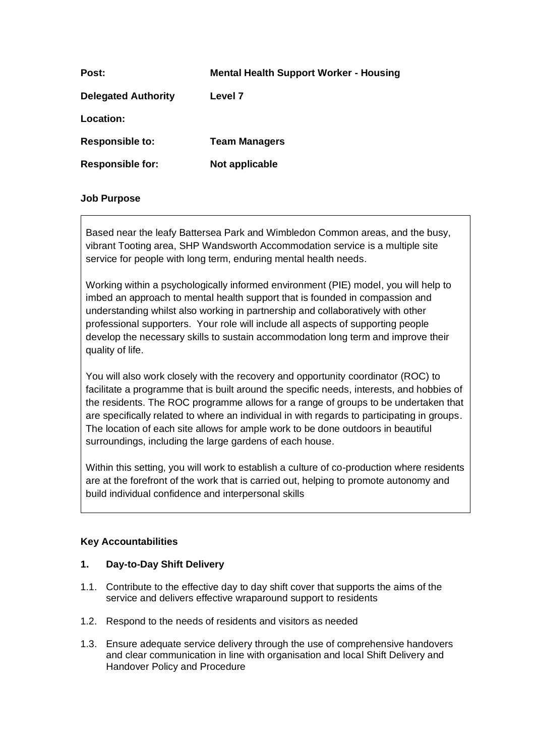| Post:                      | <b>Mental Health Support Worker - Housing</b> |
|----------------------------|-----------------------------------------------|
| <b>Delegated Authority</b> | Level 7                                       |
| <b>Location:</b>           |                                               |
| <b>Responsible to:</b>     | <b>Team Managers</b>                          |
| <b>Responsible for:</b>    | Not applicable                                |

# **Job Purpose**

Based near the leafy Battersea Park and Wimbledon Common areas, and the busy, vibrant Tooting area, SHP Wandsworth Accommodation service is a multiple site service for people with long term, enduring mental health needs.

Working within a psychologically informed environment (PIE) model, you will help to imbed an approach to mental health support that is founded in compassion and understanding whilst also working in partnership and collaboratively with other professional supporters. Your role will include all aspects of supporting people develop the necessary skills to sustain accommodation long term and improve their quality of life.

You will also work closely with the recovery and opportunity coordinator (ROC) to facilitate a programme that is built around the specific needs, interests, and hobbies of the residents. The ROC programme allows for a range of groups to be undertaken that are specifically related to where an individual in with regards to participating in groups. The location of each site allows for ample work to be done outdoors in beautiful surroundings, including the large gardens of each house.

Within this setting, you will work to establish a culture of co-production where residents are at the forefront of the work that is carried out, helping to promote autonomy and build individual confidence and interpersonal skills

## **Key Accountabilities**

## **1. Day-to-Day Shift Delivery**

- 1.1. Contribute to the effective day to day shift cover that supports the aims of the service and delivers effective wraparound support to residents
- 1.2. Respond to the needs of residents and visitors as needed
- 1.3. Ensure adequate service delivery through the use of comprehensive handovers and clear communication in line with organisation and local Shift Delivery and Handover Policy and Procedure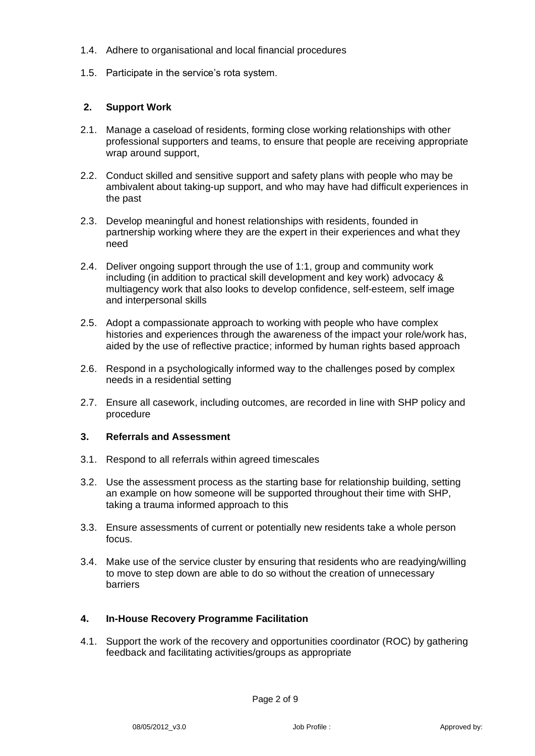- 1.4. Adhere to organisational and local financial procedures
- 1.5. Participate in the service's rota system.

# **2. Support Work**

- 2.1. Manage a caseload of residents, forming close working relationships with other professional supporters and teams, to ensure that people are receiving appropriate wrap around support,
- 2.2. Conduct skilled and sensitive support and safety plans with people who may be ambivalent about taking-up support, and who may have had difficult experiences in the past
- 2.3. Develop meaningful and honest relationships with residents, founded in partnership working where they are the expert in their experiences and what they need
- 2.4. Deliver ongoing support through the use of 1:1, group and community work including (in addition to practical skill development and key work) advocacy & multiagency work that also looks to develop confidence, self-esteem, self image and interpersonal skills
- 2.5. Adopt a compassionate approach to working with people who have complex histories and experiences through the awareness of the impact your role/work has, aided by the use of reflective practice; informed by human rights based approach
- 2.6. Respond in a psychologically informed way to the challenges posed by complex needs in a residential setting
- 2.7. Ensure all casework, including outcomes, are recorded in line with SHP policy and procedure

## **3. Referrals and Assessment**

- 3.1. Respond to all referrals within agreed timescales
- 3.2. Use the assessment process as the starting base for relationship building, setting an example on how someone will be supported throughout their time with SHP, taking a trauma informed approach to this
- 3.3. Ensure assessments of current or potentially new residents take a whole person focus.
- 3.4. Make use of the service cluster by ensuring that residents who are readying/willing to move to step down are able to do so without the creation of unnecessary barriers

## **4. In-House Recovery Programme Facilitation**

4.1. Support the work of the recovery and opportunities coordinator (ROC) by gathering feedback and facilitating activities/groups as appropriate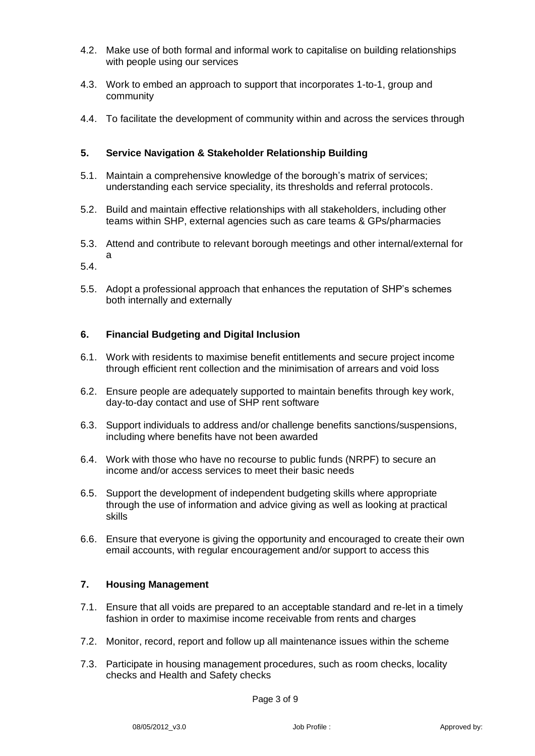- 4.2. Make use of both formal and informal work to capitalise on building relationships with people using our services
- 4.3. Work to embed an approach to support that incorporates 1-to-1, group and community
- 4.4. To facilitate the development of community within and across the services through

# **5. Service Navigation & Stakeholder Relationship Building**

- 5.1. Maintain a comprehensive knowledge of the borough's matrix of services; understanding each service speciality, its thresholds and referral protocols.
- 5.2. Build and maintain effective relationships with all stakeholders, including other teams within SHP, external agencies such as care teams & GPs/pharmacies
- 5.3. Attend and contribute to relevant borough meetings and other internal/external for a
- 5.4.
- 5.5. Adopt a professional approach that enhances the reputation of SHP's schemes both internally and externally

## **6. Financial Budgeting and Digital Inclusion**

- 6.1. Work with residents to maximise benefit entitlements and secure project income through efficient rent collection and the minimisation of arrears and void loss
- 6.2. Ensure people are adequately supported to maintain benefits through key work, day-to-day contact and use of SHP rent software
- 6.3. Support individuals to address and/or challenge benefits sanctions/suspensions, including where benefits have not been awarded
- 6.4. Work with those who have no recourse to public funds (NRPF) to secure an income and/or access services to meet their basic needs
- 6.5. Support the development of independent budgeting skills where appropriate through the use of information and advice giving as well as looking at practical skills
- 6.6. Ensure that everyone is giving the opportunity and encouraged to create their own email accounts, with regular encouragement and/or support to access this

#### **7. Housing Management**

- 7.1. Ensure that all voids are prepared to an acceptable standard and re-let in a timely fashion in order to maximise income receivable from rents and charges
- 7.2. Monitor, record, report and follow up all maintenance issues within the scheme
- 7.3. Participate in housing management procedures, such as room checks, locality checks and Health and Safety checks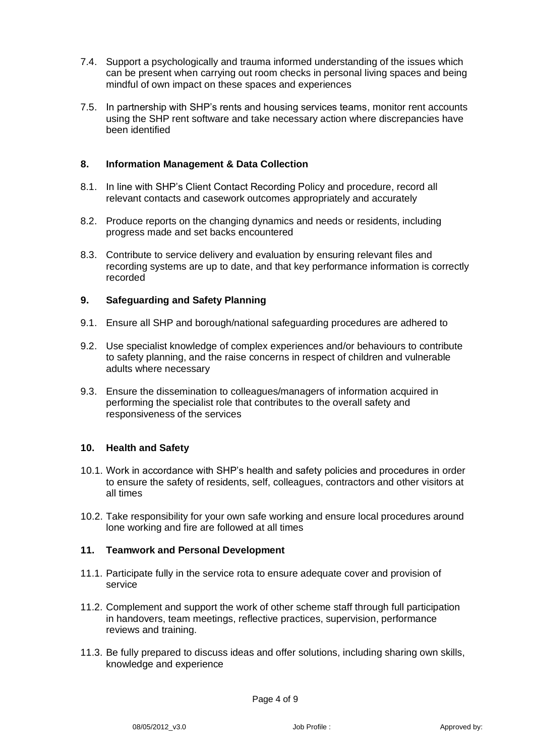- 7.4. Support a psychologically and trauma informed understanding of the issues which can be present when carrying out room checks in personal living spaces and being mindful of own impact on these spaces and experiences
- 7.5. In partnership with SHP's rents and housing services teams, monitor rent accounts using the SHP rent software and take necessary action where discrepancies have been identified

## **8. Information Management & Data Collection**

- 8.1. In line with SHP's Client Contact Recording Policy and procedure, record all relevant contacts and casework outcomes appropriately and accurately
- 8.2. Produce reports on the changing dynamics and needs or residents, including progress made and set backs encountered
- 8.3. Contribute to service delivery and evaluation by ensuring relevant files and recording systems are up to date, and that key performance information is correctly recorded

# **9. Safeguarding and Safety Planning**

- 9.1. Ensure all SHP and borough/national safeguarding procedures are adhered to
- 9.2. Use specialist knowledge of complex experiences and/or behaviours to contribute to safety planning, and the raise concerns in respect of children and vulnerable adults where necessary
- 9.3. Ensure the dissemination to colleagues/managers of information acquired in performing the specialist role that contributes to the overall safety and responsiveness of the services

## **10. Health and Safety**

- 10.1. Work in accordance with SHP's health and safety policies and procedures in order to ensure the safety of residents, self, colleagues, contractors and other visitors at all times
- 10.2. Take responsibility for your own safe working and ensure local procedures around lone working and fire are followed at all times

## **11. Teamwork and Personal Development**

- 11.1. Participate fully in the service rota to ensure adequate cover and provision of service
- 11.2. Complement and support the work of other scheme staff through full participation in handovers, team meetings, reflective practices, supervision, performance reviews and training.
- 11.3. Be fully prepared to discuss ideas and offer solutions, including sharing own skills, knowledge and experience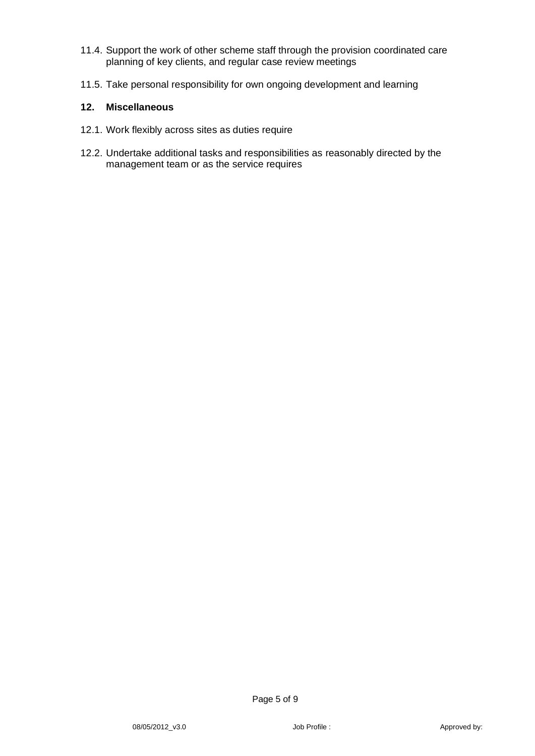- 11.4. Support the work of other scheme staff through the provision coordinated care planning of key clients, and regular case review meetings
- 11.5. Take personal responsibility for own ongoing development and learning

## **12. Miscellaneous**

- 12.1. Work flexibly across sites as duties require
- 12.2. Undertake additional tasks and responsibilities as reasonably directed by the management team or as the service requires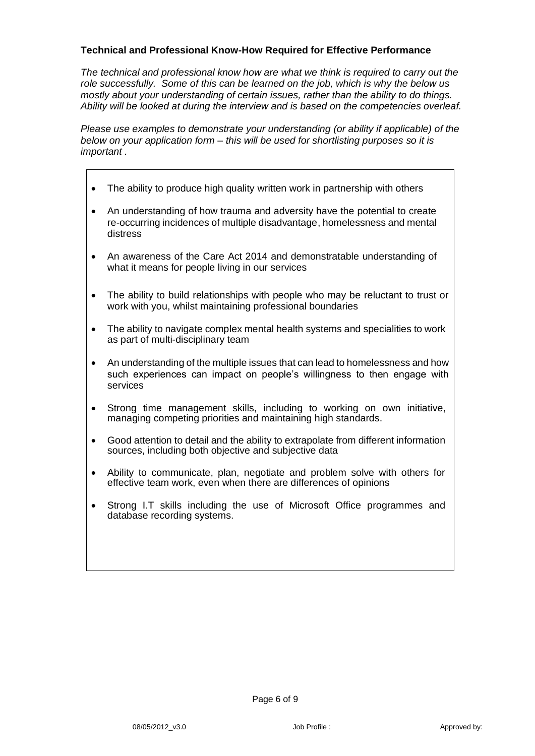# **Technical and Professional Know-How Required for Effective Performance**

*The technical and professional know how are what we think is required to carry out the role successfully. Some of this can be learned on the job, which is why the below us mostly about your understanding of certain issues, rather than the ability to do things. Ability will be looked at during the interview and is based on the competencies overleaf.* 

*Please use examples to demonstrate your understanding (or ability if applicable) of the below on your application form – this will be used for shortlisting purposes so it is important .* 

- The ability to produce high quality written work in partnership with others
- An understanding of how trauma and adversity have the potential to create re-occurring incidences of multiple disadvantage, homelessness and mental distress
- An awareness of the Care Act 2014 and demonstratable understanding of what it means for people living in our services
- The ability to build relationships with people who may be reluctant to trust or work with you, whilst maintaining professional boundaries
- The ability to navigate complex mental health systems and specialities to work as part of multi-disciplinary team
- An understanding of the multiple issues that can lead to homelessness and how such experiences can impact on people's willingness to then engage with services
- Strong time management skills, including to working on own initiative, managing competing priorities and maintaining high standards.
- Good attention to detail and the ability to extrapolate from different information sources, including both objective and subjective data
- Ability to communicate, plan, negotiate and problem solve with others for effective team work, even when there are differences of opinions
- Strong I.T skills including the use of Microsoft Office programmes and database recording systems.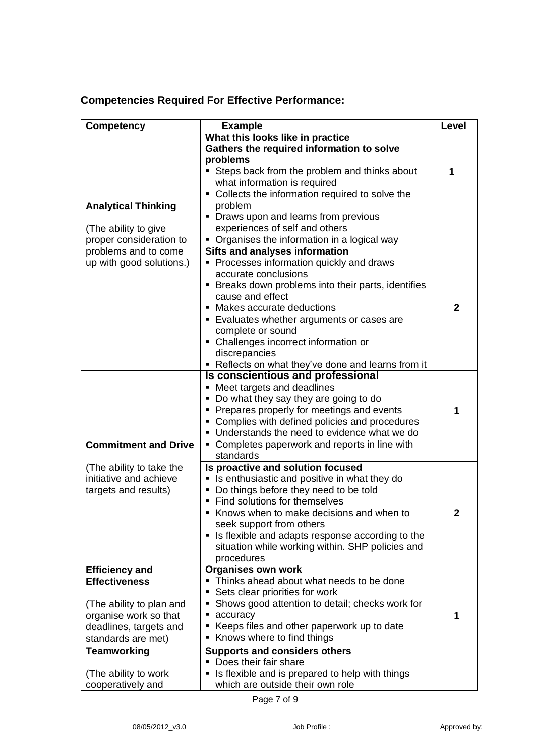# **Competencies Required For Effective Performance:**

| <b>Competency</b>                                                                                                                                                                                 | <b>Example</b>                                                                                                                                                                                                                                                                                                                                                                                          | Level        |
|---------------------------------------------------------------------------------------------------------------------------------------------------------------------------------------------------|---------------------------------------------------------------------------------------------------------------------------------------------------------------------------------------------------------------------------------------------------------------------------------------------------------------------------------------------------------------------------------------------------------|--------------|
| <b>Analytical Thinking</b><br>(The ability to give<br>proper consideration to                                                                                                                     | What this looks like in practice<br>Gathers the required information to solve<br>problems<br>• Steps back from the problem and thinks about<br>what information is required<br>• Collects the information required to solve the<br>problem<br>• Draws upon and learns from previous<br>experiences of self and others<br>• Organises the information in a logical way                                   | 1            |
| problems and to come<br>up with good solutions.)                                                                                                                                                  | <b>Sifts and analyses information</b><br>• Processes information quickly and draws<br>accurate conclusions<br>• Breaks down problems into their parts, identifies<br>cause and effect<br>• Makes accurate deductions<br>• Evaluates whether arguments or cases are<br>complete or sound<br>• Challenges incorrect information or<br>discrepancies<br>■ Reflects on what they've done and learns from it | $\mathbf{2}$ |
| <b>Commitment and Drive</b>                                                                                                                                                                       | Is conscientious and professional<br>• Meet targets and deadlines<br>• Do what they say they are going to do<br>• Prepares properly for meetings and events<br>• Complies with defined policies and procedures<br>• Understands the need to evidence what we do<br>• Completes paperwork and reports in line with<br>standards                                                                          | 1            |
| (The ability to take the<br>initiative and achieve<br>targets and results)                                                                                                                        | Is proactive and solution focused<br>• Is enthusiastic and positive in what they do<br>• Do things before they need to be told<br>• Find solutions for themselves<br>Knows when to make decisions and when to<br>seek support from others<br>• Is flexible and adapts response according to the<br>situation while working within. SHP policies and<br>procedures                                       | 2            |
| <b>Efficiency and</b><br><b>Effectiveness</b><br>(The ability to plan and<br>organise work so that<br>deadlines, targets and<br>standards are met)<br><b>Teamworking</b><br>(The ability to work) | <b>Organises own work</b><br>Thinks ahead about what needs to be done<br>Sets clear priorities for work<br>Shows good attention to detail; checks work for<br>accuracy<br>Keeps files and other paperwork up to date<br>Knows where to find things<br><b>Supports and considers others</b><br>Does their fair share<br>• Is flexible and is prepared to help with things                                | 1            |
| cooperatively and                                                                                                                                                                                 | which are outside their own role                                                                                                                                                                                                                                                                                                                                                                        |              |